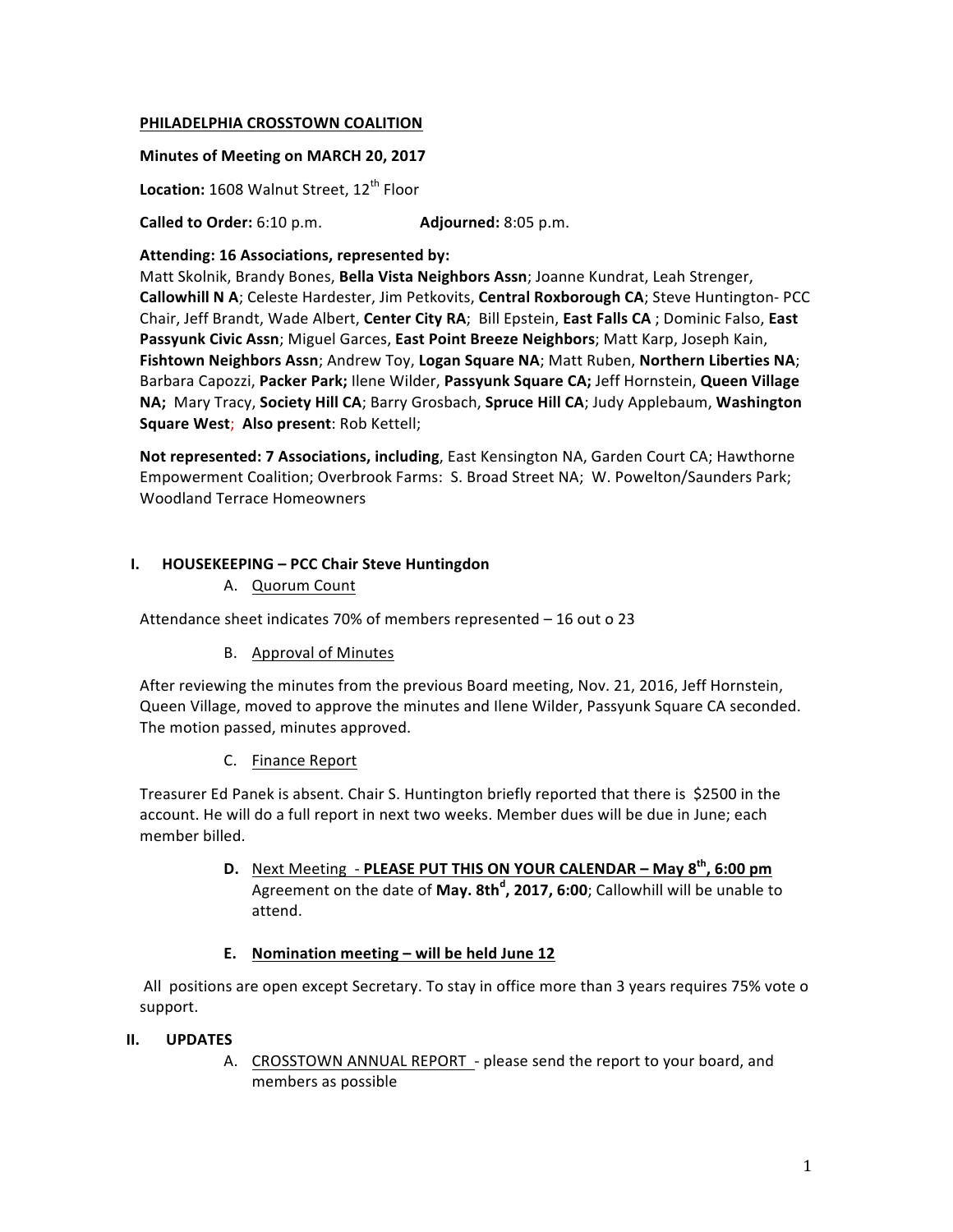#### **PHILADELPHIA CROSSTOWN COALITION**

#### **Minutes of Meeting on MARCH 20, 2017**

Location: 1608 Walnut Street, 12<sup>th</sup> Floor

**Called to Order:** 6:10 p.m. **Adjourned:** 8:05 p.m.

#### Attending: 16 Associations, represented by:

Matt Skolnik, Brandy Bones, Bella Vista Neighbors Assn; Joanne Kundrat, Leah Strenger, Callowhill N A; Celeste Hardester, Jim Petkovits, Central Roxborough CA; Steve Huntington- PCC Chair, Jeff Brandt, Wade Albert, Center City RA; Bill Epstein, East Falls CA; Dominic Falso, East **Passyunk Civic Assn**; Miguel Garces, East Point Breeze Neighbors; Matt Karp, Joseph Kain, Fishtown Neighbors Assn; Andrew Toy, Logan Square NA; Matt Ruben, Northern Liberties NA; Barbara Capozzi, Packer Park; Ilene Wilder, Passyunk Square CA; Jeff Hornstein, Queen Village NA; Mary Tracy, Society Hill CA; Barry Grosbach, Spruce Hill CA; Judy Applebaum, Washington **Square West; Also present: Rob Kettell;** 

**Not represented: 7 Associations, including, East Kensington NA, Garden Court CA; Hawthorne** Empowerment Coalition; Overbrook Farms: S. Broad Street NA; W. Powelton/Saunders Park; Woodland Terrace Homeowners

#### **I. HOUSEKEEPING – PCC Chair Steve Huntingdon**

A. Quorum Count

Attendance sheet indicates 70% of members represented  $-16$  out o 23

B. Approval of Minutes

After reviewing the minutes from the previous Board meeting, Nov. 21, 2016, Jeff Hornstein, Queen Village, moved to approve the minutes and Ilene Wilder, Passyunk Square CA seconded. The motion passed, minutes approved.

C. Finance Report

Treasurer Ed Panek is absent. Chair S. Huntington briefly reported that there is \$2500 in the account. He will do a full report in next two weeks. Member dues will be due in June; each member billed.

> **D.** Next Meeting - PLEASE PUT THIS ON YOUR CALENDAR – May 8<sup>th</sup>, 6:00 pm Agreement on the date of May. 8th<sup>d</sup>, 2017, 6:00; Callowhill will be unable to attend.

#### E. Nomination meeting – will be held June 12

All positions are open except Secretary. To stay in office more than 3 years requires 75% vote o support.

#### **II. UPDATES**

A. CROSSTOWN ANNUAL REPORT - please send the report to your board, and members as possible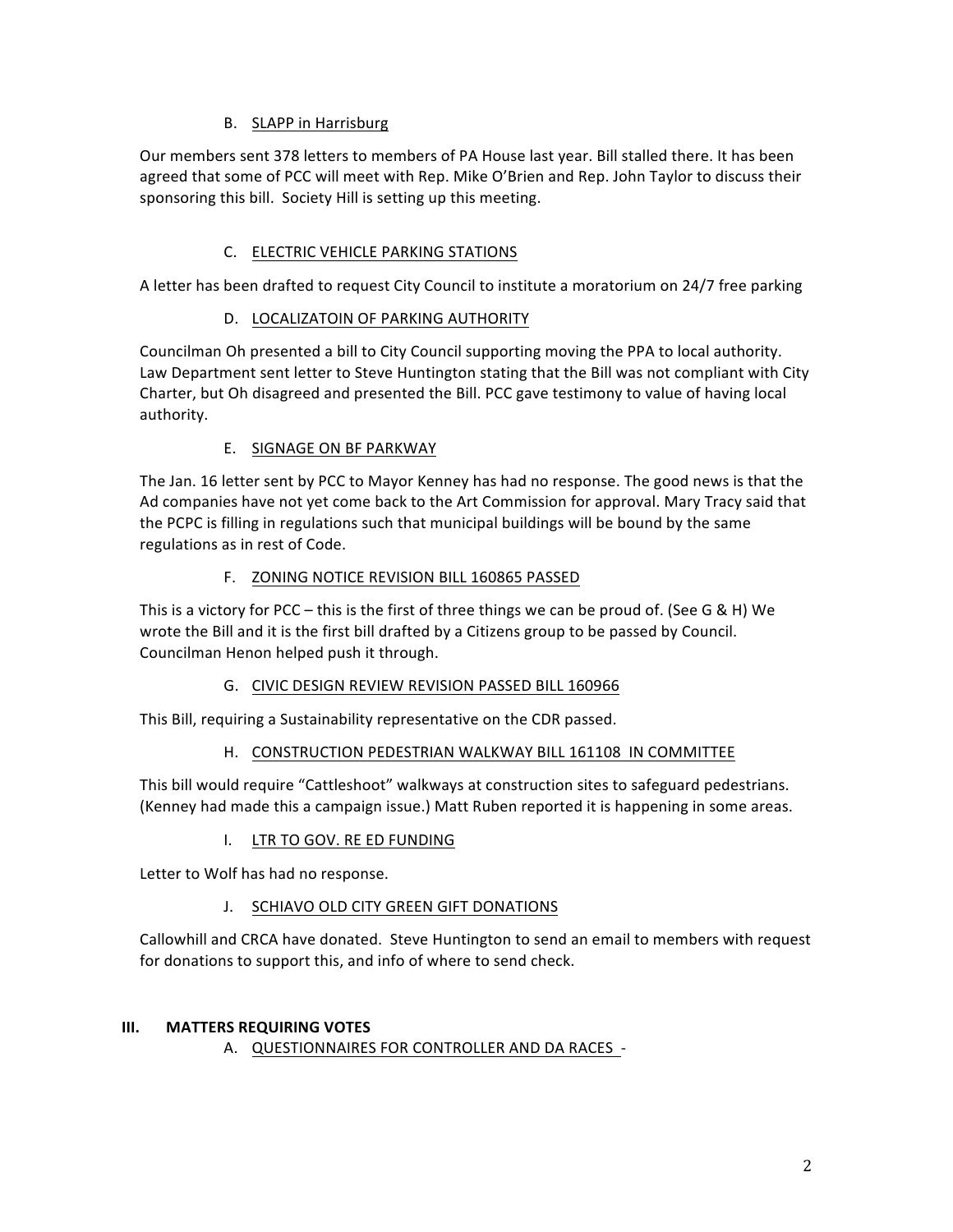## B. SLAPP in Harrisburg

Our members sent 378 letters to members of PA House last year. Bill stalled there. It has been agreed that some of PCC will meet with Rep. Mike O'Brien and Rep. John Taylor to discuss their sponsoring this bill. Society Hill is setting up this meeting.

# C. ELECTRIC VEHICLE PARKING STATIONS

A letter has been drafted to request City Council to institute a moratorium on 24/7 free parking

## D. LOCALIZATOIN OF PARKING AUTHORITY

Councilman Oh presented a bill to City Council supporting moving the PPA to local authority. Law Department sent letter to Steve Huntington stating that the Bill was not compliant with City Charter, but Oh disagreed and presented the Bill. PCC gave testimony to value of having local authority.

## E. SIGNAGE ON BF PARKWAY

The Jan. 16 letter sent by PCC to Mayor Kenney has had no response. The good news is that the Ad companies have not yet come back to the Art Commission for approval. Mary Tracy said that the PCPC is filling in regulations such that municipal buildings will be bound by the same regulations as in rest of Code.

## F. ZONING NOTICE REVISION BILL 160865 PASSED

This is a victory for PCC – this is the first of three things we can be proud of. (See G & H) We wrote the Bill and it is the first bill drafted by a Citizens group to be passed by Council. Councilman Henon helped push it through.

## G. CIVIC DESIGN REVIEW REVISION PASSED BILL 160966

This Bill, requiring a Sustainability representative on the CDR passed.

## H. CONSTRUCTION PEDESTRIAN WALKWAY BILL 161108 IN COMMITTEE

This bill would require "Cattleshoot" walkways at construction sites to safeguard pedestrians. (Kenney had made this a campaign issue.) Matt Ruben reported it is happening in some areas.

## I. LTR TO GOV. RE ED FUNDING

Letter to Wolf has had no response.

## J. SCHIAVO OLD CITY GREEN GIFT DONATIONS

Callowhill and CRCA have donated. Steve Huntington to send an email to members with request for donations to support this, and info of where to send check.

## **III.** MATTERS REQUIRING VOTES

A. QUESTIONNAIRES FOR CONTROLLER AND DA RACES -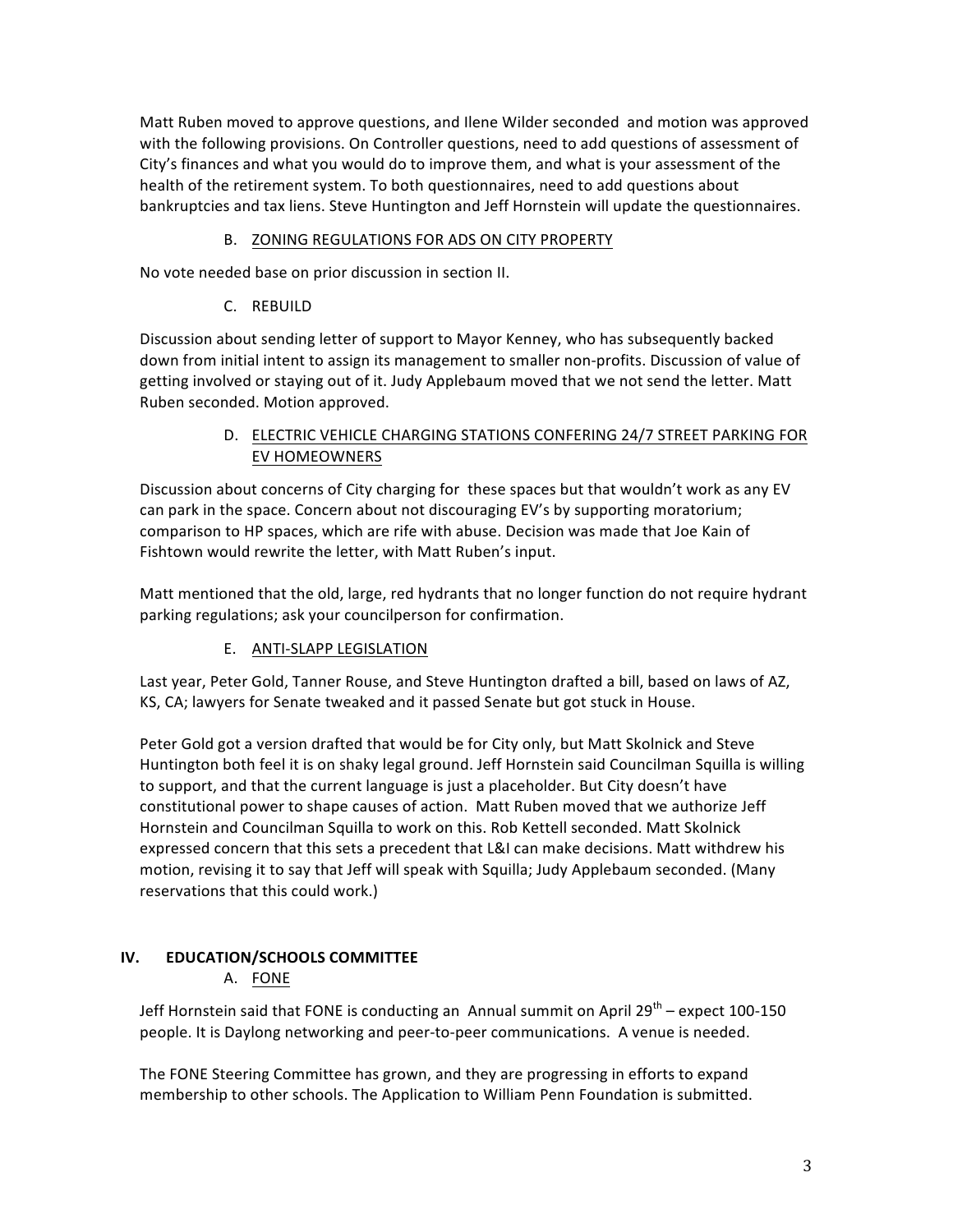Matt Ruben moved to approve questions, and Ilene Wilder seconded and motion was approved with the following provisions. On Controller questions, need to add questions of assessment of City's finances and what you would do to improve them, and what is your assessment of the health of the retirement system. To both questionnaires, need to add questions about bankruptcies and tax liens. Steve Huntington and Jeff Hornstein will update the questionnaires.

## B. ZONING REGULATIONS FOR ADS ON CITY PROPERTY

No vote needed base on prior discussion in section II.

#### C. REBUILD

Discussion about sending letter of support to Mayor Kenney, who has subsequently backed down from initial intent to assign its management to smaller non-profits. Discussion of value of getting involved or staying out of it. Judy Applebaum moved that we not send the letter. Matt Ruben seconded. Motion approved.

## D. ELECTRIC VEHICLE CHARGING STATIONS CONFERING 24/7 STREET PARKING FOR EV HOMEOWNERS

Discussion about concerns of City charging for these spaces but that wouldn't work as any EV can park in the space. Concern about not discouraging EV's by supporting moratorium; comparison to HP spaces, which are rife with abuse. Decision was made that Joe Kain of Fishtown would rewrite the letter, with Matt Ruben's input.

Matt mentioned that the old, large, red hydrants that no longer function do not require hydrant parking regulations; ask your councilperson for confirmation.

## E. ANTI-SLAPP LEGISLATION

Last year, Peter Gold, Tanner Rouse, and Steve Huntington drafted a bill, based on laws of AZ, KS, CA; lawyers for Senate tweaked and it passed Senate but got stuck in House.

Peter Gold got a version drafted that would be for City only, but Matt Skolnick and Steve Huntington both feel it is on shaky legal ground. Jeff Hornstein said Councilman Squilla is willing to support, and that the current language is just a placeholder. But City doesn't have constitutional power to shape causes of action. Matt Ruben moved that we authorize Jeff Hornstein and Councilman Squilla to work on this. Rob Kettell seconded. Matt Skolnick expressed concern that this sets a precedent that L&I can make decisions. Matt withdrew his motion, revising it to say that Jeff will speak with Squilla; Judy Applebaum seconded. (Many reservations that this could work.)

## **IV. EDUCATION/SCHOOLS COMMITTEE**

## A. FONE

Jeff Hornstein said that FONE is conducting an Annual summit on April 29<sup>th</sup> – expect 100-150 people. It is Daylong networking and peer-to-peer communications. A venue is needed.

The FONE Steering Committee has grown, and they are progressing in efforts to expand membership to other schools. The Application to William Penn Foundation is submitted.